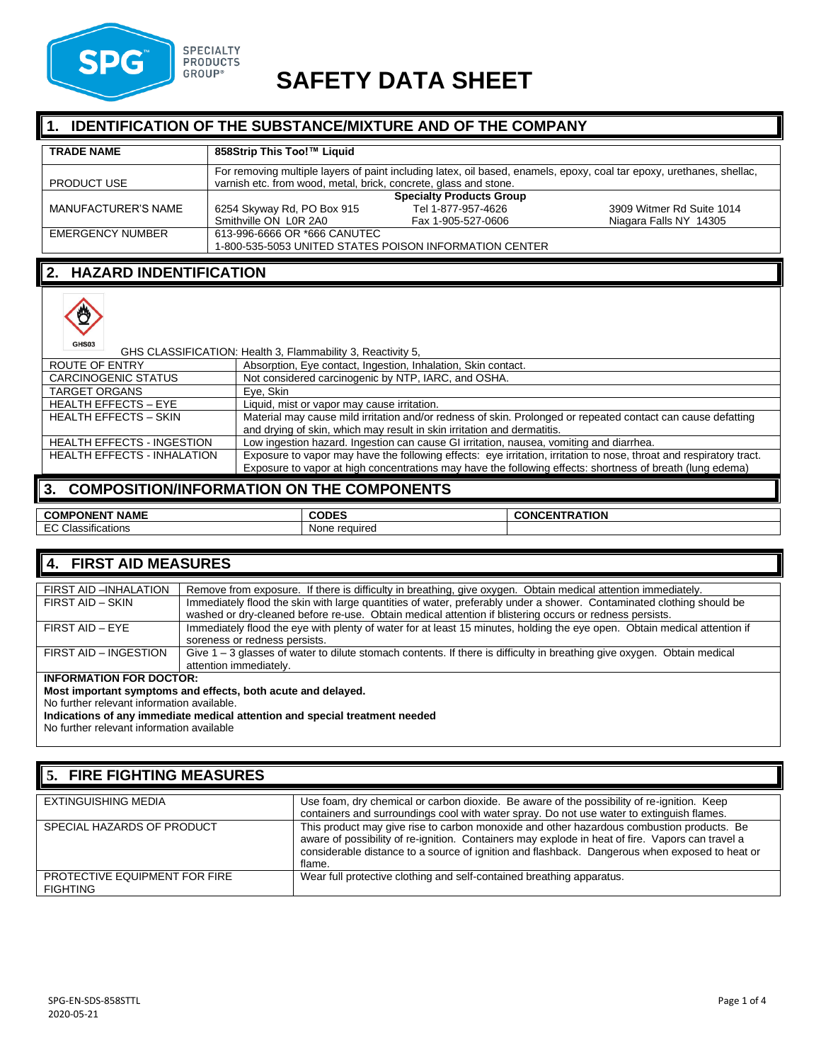

# **SAFETY DATA SHEET**

#### **IDENTIFICATION OF THE SUBSTANCE/MIXTURE AND OF THE COMPANY**

| <b>TRADE NAME</b>   | 858Strip This Too!™ Liquid                                       |                                                        |                                                                                                                       |
|---------------------|------------------------------------------------------------------|--------------------------------------------------------|-----------------------------------------------------------------------------------------------------------------------|
| <b>PRODUCT USE</b>  | varnish etc. from wood, metal, brick, concrete, glass and stone. |                                                        | For removing multiple layers of paint including latex, oil based, enamels, epoxy, coal tar epoxy, urethanes, shellac, |
|                     |                                                                  | <b>Specialty Products Group</b>                        |                                                                                                                       |
| MANUFACTURER'S NAME | 6254 Skyway Rd, PO Box 915                                       | Tel 1-877-957-4626                                     | 3909 Witmer Rd Suite 1014                                                                                             |
|                     | Smithville ON LOR 2A0                                            | Fax 1-905-527-0606                                     | Niagara Falls NY 14305                                                                                                |
| EMERGENCY NUMBER    | 613-996-6666 OR *666 CANUTEC                                     |                                                        |                                                                                                                       |
|                     |                                                                  | 1-800-535-5053 UNITED STATES POISON INFORMATION CENTER |                                                                                                                       |

#### **2. HAZARD INDENTIFICATION**



| GHS03                              | GHS CLASSIFICATION: Health 3, Flammability 3, Reactivity 5,                                                         |
|------------------------------------|---------------------------------------------------------------------------------------------------------------------|
| ROUTE OF ENTRY                     | Absorption, Eye contact, Ingestion, Inhalation, Skin contact.                                                       |
| <b>CARCINOGENIC STATUS</b>         | Not considered carcinogenic by NTP, IARC, and OSHA.                                                                 |
| <b>TARGET ORGANS</b>               | Eve, Skin                                                                                                           |
| <b>HEALTH EFFECTS - EYE</b>        | Liquid, mist or vapor may cause irritation.                                                                         |
| <b>HEALTH EFFECTS - SKIN</b>       | Material may cause mild irritation and/or redness of skin. Prolonged or repeated contact can cause defatting        |
|                                    | and drying of skin, which may result in skin irritation and dermatitis.                                             |
| <b>HEALTH EFFECTS - INGESTION</b>  | Low ingestion hazard. Ingestion can cause GI irritation, nausea, vomiting and diarrhea.                             |
| <b>HEALTH EFFECTS - INHALATION</b> | Exposure to vapor may have the following effects: eye irritation, irritation to nose, throat and respiratory tract. |
|                                    | Exposure to vapor at high concentrations may have the following effects: shortness of breath (lung edema)           |
|                                    |                                                                                                                     |

# **3. COMPOSITION/INFORMATION ON THE COMPONENTS**

| <b>NAME</b><br>.<br>PONEN.<br>COM.                                | <br>ור                  | <b>ATION</b><br>. IN'<br>. |
|-------------------------------------------------------------------|-------------------------|----------------------------|
| $\sim$<br>$\cdot$ $\cdot$<br>$\sim$<br>Classifications<br>$ \sim$ | reguired<br><b>TULL</b> |                            |

#### **4. FIRST AID MEASURES**

| FIRST AID -INHALATION | Remove from exposure. If there is difficulty in breathing, give oxygen. Obtain medical attention immediately.             |
|-----------------------|---------------------------------------------------------------------------------------------------------------------------|
| FIRST AID - SKIN      | Immediately flood the skin with large quantities of water, preferably under a shower. Contaminated clothing should be     |
|                       | washed or dry-cleaned before re-use. Obtain medical attention if blistering occurs or redness persists.                   |
| FIRST AID - EYE       | Immediately flood the eye with plenty of water for at least 15 minutes, holding the eye open. Obtain medical attention if |
|                       | soreness or redness persists.                                                                                             |
| FIRST AID - INGESTION | Give 1 - 3 glasses of water to dilute stomach contents. If there is difficulty in breathing give oxygen. Obtain medical   |
|                       | attention immediately.                                                                                                    |
|                       |                                                                                                                           |

#### **INFORMATION FOR DOCTOR:**

**Most important symptoms and effects, both acute and delayed.** 

No further relevant information available.

**Indications of any immediate medical attention and special treatment needed**

No further relevant information available

# **5. FIRE FIGHTING MEASURES**

| EXTINGUISHING MEDIA                              | Use foam, dry chemical or carbon dioxide. Be aware of the possibility of re-ignition. Keep<br>containers and surroundings cool with water spray. Do not use water to extinguish flames.                                                                                                                   |
|--------------------------------------------------|-----------------------------------------------------------------------------------------------------------------------------------------------------------------------------------------------------------------------------------------------------------------------------------------------------------|
| SPECIAL HAZARDS OF PRODUCT                       | This product may give rise to carbon monoxide and other hazardous combustion products. Be<br>aware of possibility of re-ignition. Containers may explode in heat of fire. Vapors can travel a<br>considerable distance to a source of ignition and flashback. Dangerous when exposed to heat or<br>flame. |
| PROTECTIVE EQUIPMENT FOR FIRE<br><b>FIGHTING</b> | Wear full protective clothing and self-contained breathing apparatus.                                                                                                                                                                                                                                     |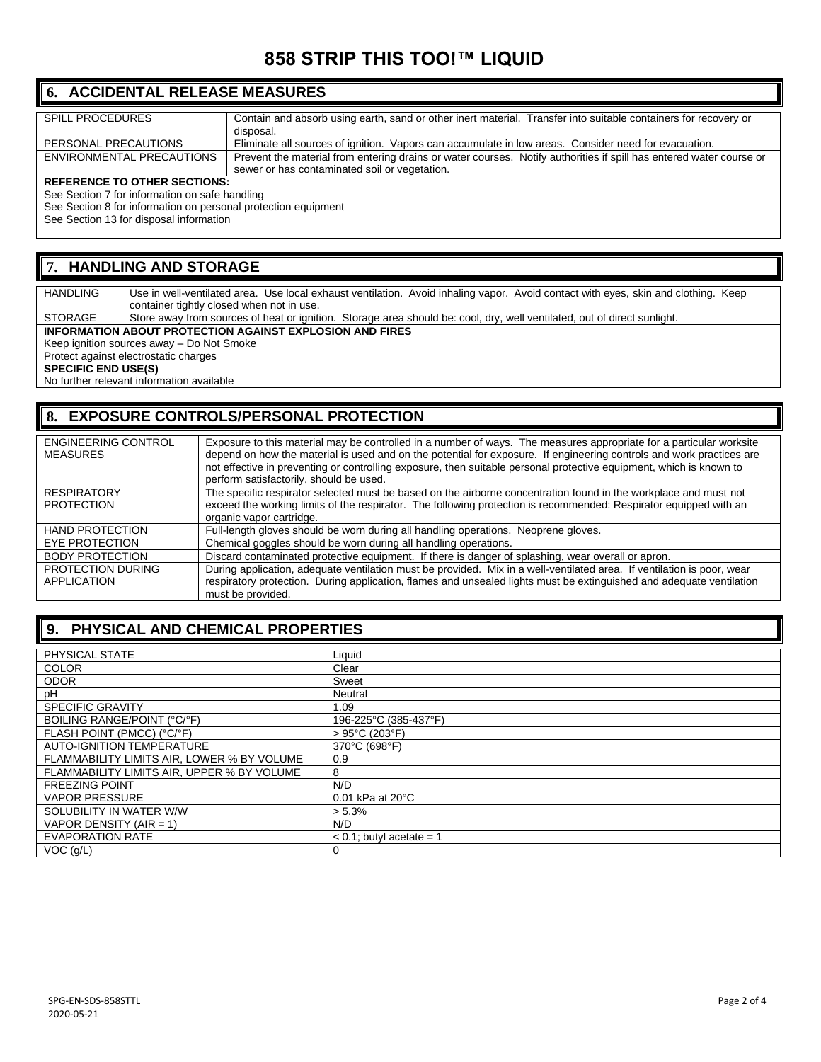# **858 STRIP THIS TOO!™ LIQUID**

# **6. ACCIDENTAL RELEASE MEASURES**

| <b>SPILL PROCEDURES</b>                        | Contain and absorb using earth, sand or other inert material. Transfer into suitable containers for recovery or     |  |
|------------------------------------------------|---------------------------------------------------------------------------------------------------------------------|--|
|                                                | disposal.                                                                                                           |  |
| PERSONAL PRECAUTIONS                           | Eliminate all sources of ignition. Vapors can accumulate in low areas. Consider need for evacuation.                |  |
| ENVIRONMENTAL PRECAUTIONS                      | Prevent the material from entering drains or water courses. Notify authorities if spill has entered water course or |  |
|                                                | sewer or has contaminated soil or vegetation.                                                                       |  |
| <b>REFERENCE TO OTHER SECTIONS:</b>            |                                                                                                                     |  |
| See Section 7 for information on safe handling |                                                                                                                     |  |
|                                                |                                                                                                                     |  |

See Section 8 for information on personal protection equipment

See Section 13 for disposal information

# **7. HANDLING AND STORAGE**

HANDLING Use in well-ventilated area. Use local exhaust ventilation. Avoid inhaling vapor. Avoid contact with eyes, skin and clothing. Keep container tightly closed when not in use. STORAGE Store away from sources of heat or ignition. Storage area should be: cool, dry, well ventilated, out of direct sunlight.

**INFORMATION ABOUT PROTECTION AGAINST EXPLOSION AND FIRES**

Keep ignition sources away – Do Not Smoke

Protect against electrostatic charges

**SPECIFIC END USE(S)** 

No further relevant information available

# **8. EXPOSURE CONTROLS/PERSONAL PROTECTION**

| <b>ENGINEERING CONTROL</b><br><b>MEASURES</b> | Exposure to this material may be controlled in a number of ways. The measures appropriate for a particular worksite<br>depend on how the material is used and on the potential for exposure. If engineering controls and work practices are<br>not effective in preventing or controlling exposure, then suitable personal protective equipment, which is known to<br>perform satisfactorily, should be used. |
|-----------------------------------------------|---------------------------------------------------------------------------------------------------------------------------------------------------------------------------------------------------------------------------------------------------------------------------------------------------------------------------------------------------------------------------------------------------------------|
| <b>RESPIRATORY</b><br><b>PROTECTION</b>       | The specific respirator selected must be based on the airborne concentration found in the workplace and must not<br>exceed the working limits of the respirator. The following protection is recommended: Respirator equipped with an<br>organic vapor cartridge.                                                                                                                                             |
| <b>HAND PROTECTION</b>                        | Full-length gloves should be worn during all handling operations. Neoprene gloves.                                                                                                                                                                                                                                                                                                                            |
| <b>EYE PROTECTION</b>                         | Chemical goggles should be worn during all handling operations.                                                                                                                                                                                                                                                                                                                                               |
| <b>BODY PROTECTION</b>                        | Discard contaminated protective equipment. If there is danger of splashing, wear overall or apron.                                                                                                                                                                                                                                                                                                            |
| PROTECTION DURING<br>APPLICATION              | During application, adequate ventilation must be provided. Mix in a well-ventilated area. If ventilation is poor, wear<br>respiratory protection. During application, flames and unsealed lights must be extinguished and adequate ventilation<br>must be provided.                                                                                                                                           |

# **9. PHYSICAL AND CHEMICAL PROPERTIES**

| PHYSICAL STATE                             | Liquid                             |
|--------------------------------------------|------------------------------------|
| <b>COLOR</b>                               | Clear                              |
| <b>ODOR</b>                                | Sweet                              |
| рH                                         | Neutral                            |
| <b>SPECIFIC GRAVITY</b>                    | 1.09                               |
| BOILING RANGE/POINT (°C/°F)                | 196-225°C (385-437°F)              |
| FLASH POINT (PMCC) (°C/°F)                 | $>95^{\circ}$ C (203 $^{\circ}$ F) |
| <b>AUTO-IGNITION TEMPERATURE</b>           | 370°C (698°F)                      |
| FLAMMABILITY LIMITS AIR. LOWER % BY VOLUME | 0.9                                |
| FLAMMABILITY LIMITS AIR, UPPER % BY VOLUME | 8                                  |
| <b>FREEZING POINT</b>                      | N/D                                |
| <b>VAPOR PRESSURE</b>                      | $0.01$ kPa at $20^{\circ}$ C       |
| SOLUBILITY IN WATER W/W                    | $> 5.3\%$                          |
| VAPOR DENSITY (AIR = 1)                    | N/D                                |
| <b>EVAPORATION RATE</b>                    | $< 0.1$ ; butyl acetate = 1        |
| $VOC$ ( $g/L$ )                            | 0                                  |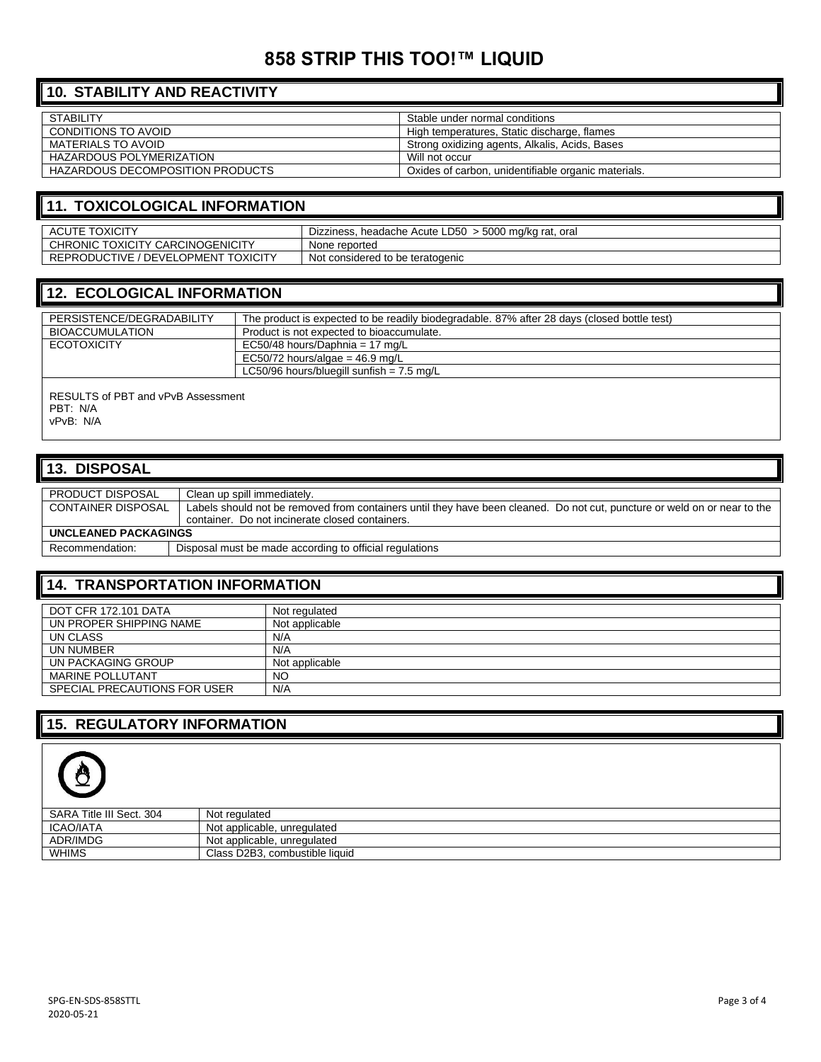# **858 STRIP THIS TOO!™ LIQUID**

# **10. STABILITY AND REACTIVITY**

| <b>STABILITY</b>                 | Stable under normal conditions                      |
|----------------------------------|-----------------------------------------------------|
| CONDITIONS TO AVOID              | High temperatures, Static discharge, flames         |
| MATERIALS TO AVOID               | Strong oxidizing agents, Alkalis, Acids, Bases      |
| HAZARDOUS POLYMERIZATION         | Will not occur                                      |
| HAZARDOUS DECOMPOSITION PRODUCTS | Oxides of carbon, unidentifiable organic materials. |

#### **11. TOXICOLOGICAL INFORMATION**

| <b>TOXICITY</b><br>ACUTE .                          | headache Acute LD50<br>> 5000 mg/kg rat.<br>Dizziness<br>oral |
|-----------------------------------------------------|---------------------------------------------------------------|
| CHRONIC TOXICITY CARCINOGENICITY                    | None reported                                                 |
| REPRODUCTIVE / DEVELO<br><b>TOXICITY</b><br>LOPMENT | Not<br>t considered to be teratogenic                         |

## **12. ECOLOGICAL INFORMATION**

| PERSISTENCE/DEGRADABILITY                                   | The product is expected to be readily biodegradable. 87% after 28 days (closed bottle test) |
|-------------------------------------------------------------|---------------------------------------------------------------------------------------------|
| <b>BIOACCUMULATION</b>                                      | Product is not expected to bioaccumulate.                                                   |
| <b>ECOTOXICITY</b>                                          | EC50/48 hours/Daphnia = 17 mg/L                                                             |
|                                                             | EC50/72 hours/algae = $46.9$ mg/L                                                           |
|                                                             | LC50/96 hours/bluegill sunfish = $7.5 \text{ mg/L}$                                         |
| RESULTS of PBT and vPvB Assessment<br>PBT: N/A<br>vPvB: N/A |                                                                                             |

#### **13. DISPOSAL**

| <b>PRODUCT DISPOSAL</b>     | Clean up spill immediately.                                                                                               |  |
|-----------------------------|---------------------------------------------------------------------------------------------------------------------------|--|
|                             |                                                                                                                           |  |
| <b>CONTAINER DISPOSAL</b>   | Labels should not be removed from containers until they have been cleaned. Do not cut, puncture or weld on or near to the |  |
|                             | container. Do not incinerate closed containers.                                                                           |  |
|                             |                                                                                                                           |  |
| <b>UNCLEANED PACKAGINGS</b> |                                                                                                                           |  |
|                             |                                                                                                                           |  |
| Recommendation:             | Disposal must be made according to official regulations                                                                   |  |
|                             |                                                                                                                           |  |

#### **14. TRANSPORTATION INFORMATION**

| DOT CFR 172.101 DATA         | Not regulated  |
|------------------------------|----------------|
| UN PROPER SHIPPING NAME      | Not applicable |
| UN CLASS                     | N/A            |
| UN NUMBER                    | N/A            |
| UN PACKAGING GROUP           | Not applicable |
| <b>MARINE POLLUTANT</b>      | NO             |
| SPECIAL PRECAUTIONS FOR USER | N/A            |

# **15. REGULATORY INFORMATION**



| SARA Title III Sect. 304 | Not regulated                  |
|--------------------------|--------------------------------|
| ICAO/IATA                | Not applicable, unregulated    |
| ADR/IMDG                 | Not applicable, unregulated    |
| WHIMS                    | Class D2B3, combustible liquid |